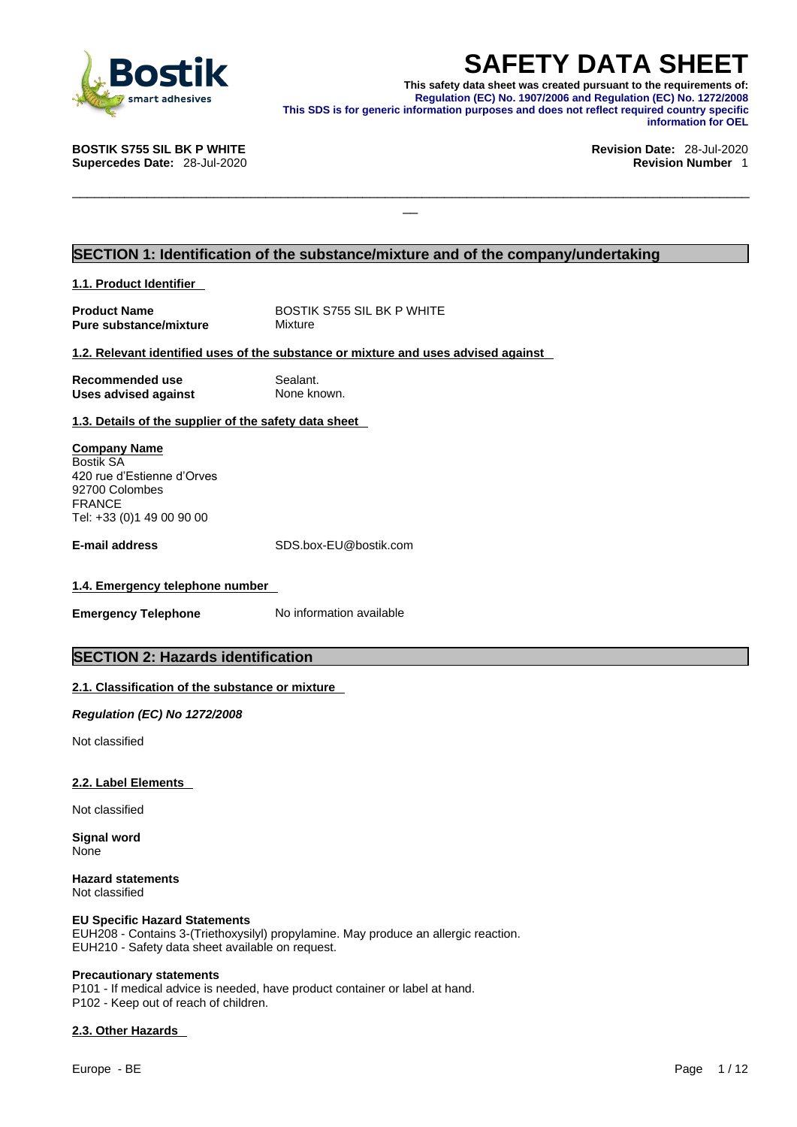

**SAFETY DATA SHEET**<br>This safety data sheet was created pursuant to the requirements of:<br>Regulation (EC) No. 1907/2006 and Regulation (EC) No. 1272/2008<br>information purposes and does not reflect required country specific<br>in **This safety data sheet was created pursuant to the requirements of: Regulation (EC) No. 1907/2006 and Regulation (EC) No. 1272/2008 This SDS is for generic information purposes and does not reflect required country specific information for OEL** 

\_\_\_\_\_\_\_\_\_\_\_\_\_\_\_\_\_\_\_\_\_\_\_\_\_\_\_\_\_\_\_\_\_\_\_\_\_\_\_\_\_\_\_\_\_\_\_\_\_\_\_\_\_\_\_\_\_\_\_\_\_\_\_\_\_\_\_\_\_\_\_\_\_\_\_\_\_\_\_\_\_\_\_\_\_\_\_\_\_\_\_

**BOSTIK S755 SIL BK P WHITE Revision Date:** 28-Jul-2020

## **Supercedes Date:** 28-Jul-2020 **Revision Number** 1

### **SECTION 1: Identification of the substance/mixture and of the company/undertaking**

**1.1. Product Identifier** 

| <b>Product Name</b>    |  |  |  |  |
|------------------------|--|--|--|--|
| Pure substance/mixture |  |  |  |  |

**BOSTIK S755 SIL BK P WHITE Mixture** 

### **1.2. Relevant identified uses of the substance or mixture and uses advised against**

| Recommended use             |  |
|-----------------------------|--|
| <b>Uses advised against</b> |  |

**Sealant. None known.** 

**1.3. Details of the supplier of the safety data sheet**

**Company Name** Bostik SA 420 rue d'Estienne d'Orves 92700 Colombes FRANCE Tel: +33 (0)1 49 00 90 00

**E-mail address** SDS.box-EU@bostik.com

### **1.4. Emergency telephone number**

**Emergency Telephone** No information available

### **SECTION 2: Hazards identification**

### **2.1. Classification of the substance or mixture**

*Regulation (EC) No 1272/2008* 

Not classified

### **2.2. Label Elements**

Not classified

**Signal word** None

**Hazard statements** Not classified

### **EU Specific Hazard Statements**

EUH208 - Contains 3-(Triethoxysilyl) propylamine. May produce an allergic reaction.<br>EUH210 - Safety data sheet available on request.

### **Precautionary statements**

P101 - If medical advice is needed, have product container or label at hand. P102 - Keep out of reach of children.

### **2.3. Other Hazards**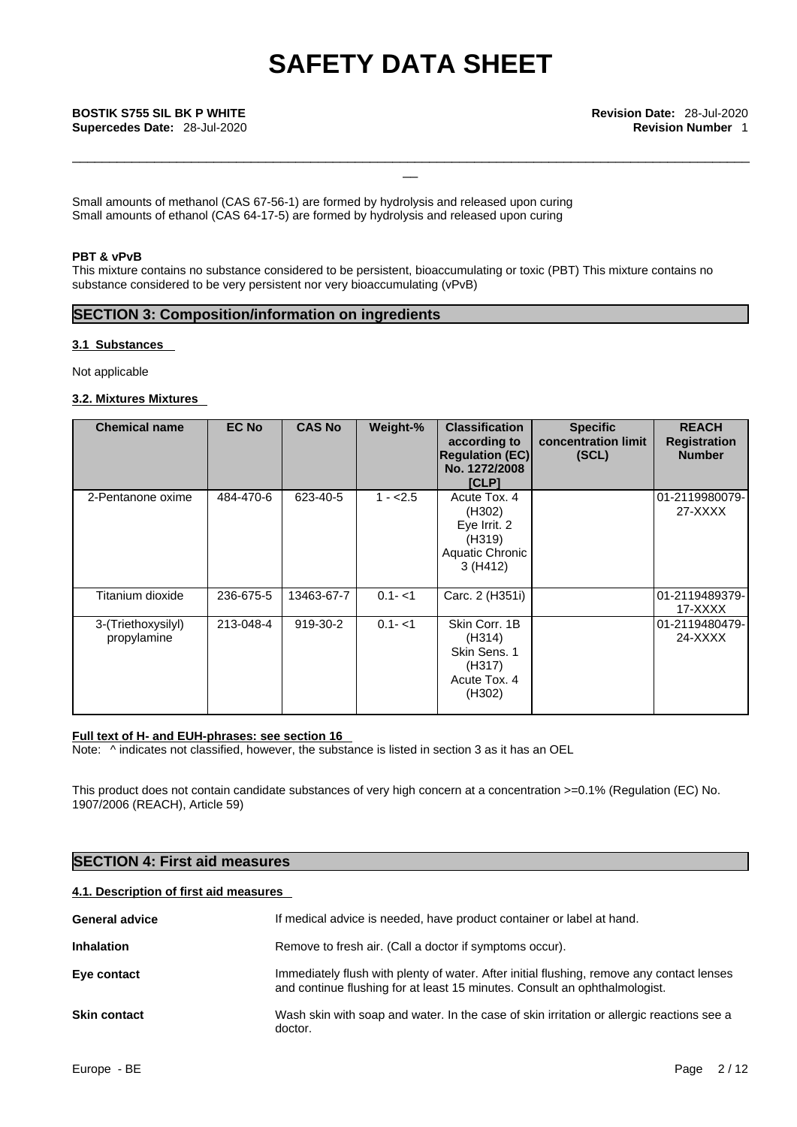\_\_\_\_\_\_\_\_\_\_\_\_\_\_\_\_\_\_\_\_\_\_\_\_\_\_\_\_\_\_\_\_\_\_\_\_\_\_\_\_\_\_\_\_\_\_\_\_\_\_\_\_\_\_\_\_\_\_\_\_\_\_\_\_\_\_\_\_\_\_\_\_\_\_\_\_\_\_\_\_\_\_\_\_\_\_\_\_\_\_\_

Small amounts of methanol (CAS 67-56-1) are formed by hydrolysis and released upon curing Small amounts of ethanol (CAS 64-17-5) are formed by hydrolysis and released upon curing

### **PBT & vPvB**

This mixture contains no substance considered to be persistent, bioaccumulating or toxic (PBT) This mixture contains no substance considered to be very persistent nor very bioaccumulating (vPvB)

### **SECTION 3: Composition/information on ingredients**

### **3.1 Substances**

Not applicable

### **3.2. Mixtures Mixtures**

| <b>Chemical name</b>              | <b>EC No</b> | <b>CAS No</b> | Weight-%  | <b>Classification</b><br>according to<br><b>Regulation (EC)</b><br>No. 1272/2008<br><b>[CLP]</b> | <b>Specific</b><br>concentration limit<br>(SCL) | <b>REACH</b><br><b>Registration</b><br><b>Number</b> |
|-----------------------------------|--------------|---------------|-----------|--------------------------------------------------------------------------------------------------|-------------------------------------------------|------------------------------------------------------|
| 2-Pentanone oxime                 | 484-470-6    | 623-40-5      | $1 - 2.5$ | Acute Tox. 4<br>(H302)<br>Eye Irrit. 2<br>(H319)<br>Aquatic Chronic<br>3(H412)                   |                                                 | 01-2119980079-<br>27-XXXX                            |
| Titanium dioxide                  | 236-675-5    | 13463-67-7    | $0.1 - 1$ | Carc. 2 (H351i)                                                                                  |                                                 | 01-2119489379-<br>17-XXXX                            |
| 3-(Triethoxysilyl)<br>propylamine | 213-048-4    | 919-30-2      | $0.1 - 1$ | Skin Corr. 1B<br>(H314)<br>Skin Sens. 1<br>(H317)<br>Acute Tox. 4<br>(H302)                      |                                                 | 01-2119480479-<br>24-XXXX                            |

### **Full text of H- and EUH-phrases: see section 16**

Note:  $\wedge$  indicates not classified, however, the substance is listed in section 3 as it has an OEL

This product does not contain candidate substances of very high concern at a concentration >=0.1% (Regulation (EC) No. 1907/2006 (REACH), Article 59)

### **SECTION 4: First aid measures**

### **4.1. Description of first aid measures**

| <b>General advice</b> | If medical advice is needed, have product container or label at hand.                                                                                                   |
|-----------------------|-------------------------------------------------------------------------------------------------------------------------------------------------------------------------|
| <b>Inhalation</b>     | Remove to fresh air. (Call a doctor if symptoms occur).                                                                                                                 |
| Eye contact           | Immediately flush with plenty of water. After initial flushing, remove any contact lenses<br>and continue flushing for at least 15 minutes. Consult an ophthalmologist. |
| <b>Skin contact</b>   | Wash skin with soap and water. In the case of skin irritation or allergic reactions see a<br>doctor.                                                                    |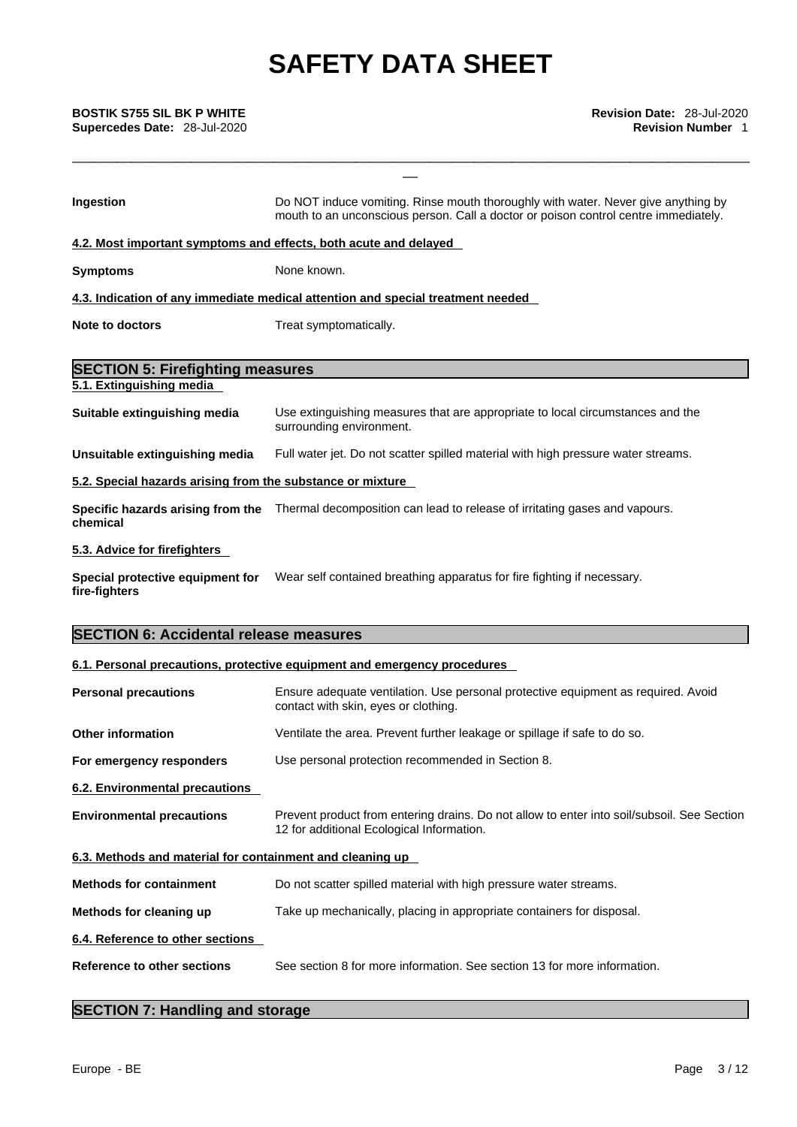# **Supercedes Date:** 28-Jul-2020 **Revision Number** 1

| <b>BOSTIK S755 SIL BK P WHITE</b><br>Supercedes Date: 28-Jul-2020 | Revision Date: 28-Jul-2020<br><b>Revision Number 1</b>                                                                                                                   |  |  |  |  |
|-------------------------------------------------------------------|--------------------------------------------------------------------------------------------------------------------------------------------------------------------------|--|--|--|--|
|                                                                   |                                                                                                                                                                          |  |  |  |  |
| Ingestion                                                         | Do NOT induce vomiting. Rinse mouth thoroughly with water. Never give anything by<br>mouth to an unconscious person. Call a doctor or poison control centre immediately. |  |  |  |  |
| 4.2. Most important symptoms and effects, both acute and delayed  |                                                                                                                                                                          |  |  |  |  |
| <b>Symptoms</b>                                                   | None known.                                                                                                                                                              |  |  |  |  |
|                                                                   | 4.3. Indication of any immediate medical attention and special treatment needed                                                                                          |  |  |  |  |
| <b>Note to doctors</b>                                            | Treat symptomatically.                                                                                                                                                   |  |  |  |  |
| <b>SECTION 5: Firefighting measures</b>                           |                                                                                                                                                                          |  |  |  |  |
| 5.1. Extinguishing media                                          |                                                                                                                                                                          |  |  |  |  |
| Suitable extinguishing media                                      | Use extinguishing measures that are appropriate to local circumstances and the<br>surrounding environment.                                                               |  |  |  |  |
| Unsuitable extinguishing media                                    | Full water jet. Do not scatter spilled material with high pressure water streams.                                                                                        |  |  |  |  |
| 5.2. Special hazards arising from the substance or mixture        |                                                                                                                                                                          |  |  |  |  |
| chemical                                                          | Specific hazards arising from the Thermal decomposition can lead to release of irritating gases and vapours.                                                             |  |  |  |  |
| 5.3. Advice for firefighters                                      |                                                                                                                                                                          |  |  |  |  |
| fire-fighters                                                     | Special protective equipment for Wear self contained breathing apparatus for fire fighting if necessary.                                                                 |  |  |  |  |
| <b>SECTION 6: Accidental release measures</b>                     |                                                                                                                                                                          |  |  |  |  |
|                                                                   | 6.1. Personal precautions, protective equipment and emergency procedures                                                                                                 |  |  |  |  |
| <b>Personal precautions</b>                                       | Ensure adequate ventilation. Use personal protective equipment as required. Avoid<br>contact with skin, eyes or clothing.                                                |  |  |  |  |
| <b>Other information</b>                                          | Ventilate the area. Prevent further leakage or spillage if safe to do so.                                                                                                |  |  |  |  |
| For emergency responders                                          | Use personal protection recommended in Section 8.                                                                                                                        |  |  |  |  |
| 6.2. Environmental precautions                                    |                                                                                                                                                                          |  |  |  |  |
| <b>Environmental precautions</b>                                  | Prevent product from entering drains. Do not allow to enter into soil/subsoil. See Section<br>12 for additional Ecological Information.                                  |  |  |  |  |
| 6.3. Methods and material for containment and cleaning up         |                                                                                                                                                                          |  |  |  |  |
| <b>Methods for containment</b>                                    | Do not scatter spilled material with high pressure water streams.                                                                                                        |  |  |  |  |
| Methods for cleaning up                                           | Take up mechanically, placing in appropriate containers for disposal.                                                                                                    |  |  |  |  |
|                                                                   |                                                                                                                                                                          |  |  |  |  |

**6.4. Reference to other sections** 

**Reference to other sections** See section 8 for more information. See section 13 for more information.

## **SECTION 7: Handling and storage**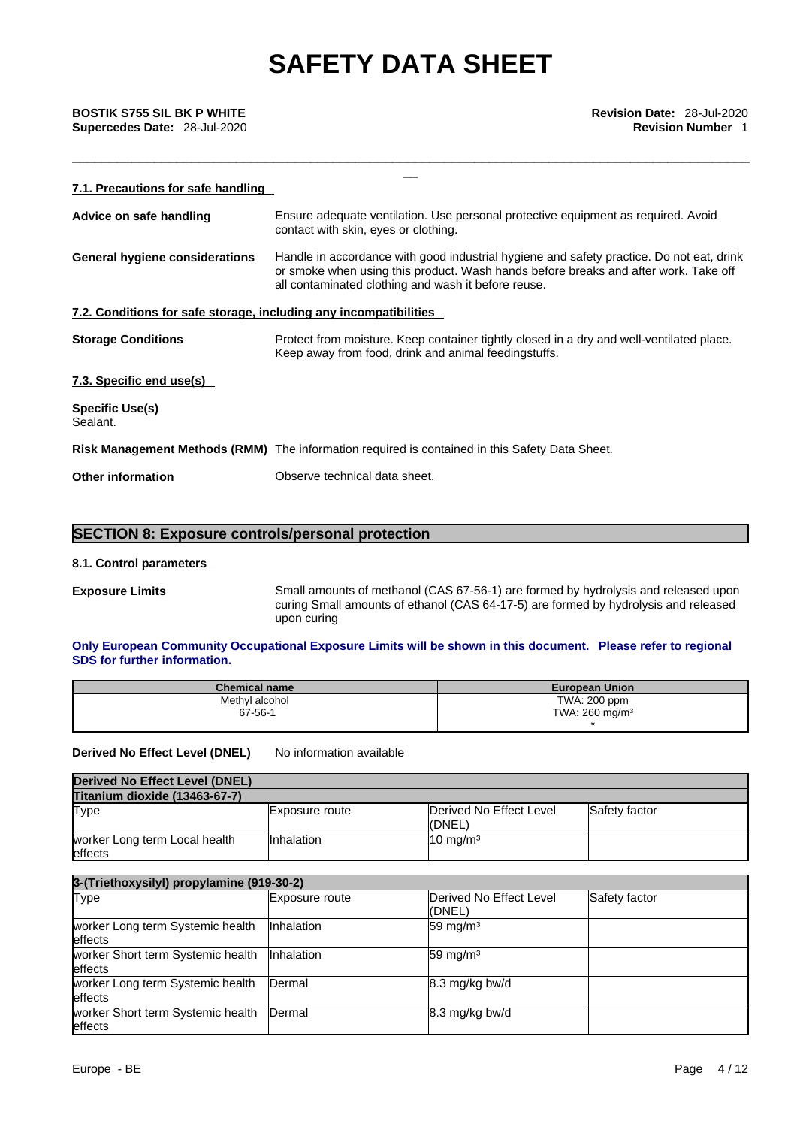# **Supercedes Date:** 28-Jul-2020 **Revision Number** 1

| <b>BOSTIK S755 SIL BK P WHITE</b><br>Supercedes Date: 28-Jul-2020 | <b>Revision Date: 28-Jul-2020</b><br><b>Revision Number 1</b>                                                                                                                                                                          |  |  |  |  |
|-------------------------------------------------------------------|----------------------------------------------------------------------------------------------------------------------------------------------------------------------------------------------------------------------------------------|--|--|--|--|
| 7.1. Precautions for safe handling                                |                                                                                                                                                                                                                                        |  |  |  |  |
| Advice on safe handling                                           | Ensure adequate ventilation. Use personal protective equipment as required. Avoid<br>contact with skin, eyes or clothing.                                                                                                              |  |  |  |  |
| <b>General hygiene considerations</b>                             | Handle in accordance with good industrial hygiene and safety practice. Do not eat, drink<br>or smoke when using this product. Wash hands before breaks and after work. Take off<br>all contaminated clothing and wash it before reuse. |  |  |  |  |
| 7.2. Conditions for safe storage, including any incompatibilities |                                                                                                                                                                                                                                        |  |  |  |  |
| <b>Storage Conditions</b>                                         | Protect from moisture. Keep container tightly closed in a dry and well-ventilated place.<br>Keep away from food, drink and animal feedingstuffs.                                                                                       |  |  |  |  |
| 7.3. Specific end use(s)                                          |                                                                                                                                                                                                                                        |  |  |  |  |
| Specific Use(s)<br>Sealant.                                       |                                                                                                                                                                                                                                        |  |  |  |  |
|                                                                   | Risk Management Methods (RMM) The information required is contained in this Safety Data Sheet.                                                                                                                                         |  |  |  |  |
| <b>Other information</b>                                          | Observe technical data sheet.                                                                                                                                                                                                          |  |  |  |  |
|                                                                   |                                                                                                                                                                                                                                        |  |  |  |  |

### **SECTION 8: Exposure controls/personal protection**

### **8.1. Control parameters**

**Exposure Limits** Small amounts of methanol (CAS 67-56-1) are formed by hydrolysis and released upon curing Small amounts of ethanol (CAS 64-17-5) are formed by hydrolysis and released upon curing

### **Only European Community Occupational Exposure Limits will be shown in this document. Please refer to regional SDS for further information.**

| <b>Chemical name</b> | <b>European Union</b>     |
|----------------------|---------------------------|
| Methyl alcohol       | TWA: 200 ppm              |
| 67-56-1              | TWA: $260 \text{ mg/m}^3$ |
|                      |                           |

**Derived No Effect Level (DNEL)** No information available

| Derived No Effect Level (DNEL)           |                   |                                    |               |
|------------------------------------------|-------------------|------------------------------------|---------------|
| <b>Titanium dioxide (13463-67-7)</b>     |                   |                                    |               |
| Type                                     | Exposure route    | Derived No Effect Level<br>l(DNEL) | Safety factor |
| worker Long term Local health<br>effects | <b>Inhalation</b> | $10 \text{ mg/m}^3$                |               |

| 3-(Triethoxysilyl) propylamine (919-30-2)            |                   |                                   |               |  |
|------------------------------------------------------|-------------------|-----------------------------------|---------------|--|
| <b>Type</b>                                          | Exposure route    | Derived No Effect Level<br>(DNEL) | Safety factor |  |
| worker Long term Systemic health<br><b>leffects</b>  | <b>Inhalation</b> | $59 \text{ mg/m}^3$               |               |  |
| worker Short term Systemic health<br><b>leffects</b> | <b>Inhalation</b> | $59 \text{ mg/m}^3$               |               |  |
| worker Long term Systemic health<br><b>effects</b>   | Dermal            | 8.3 mg/kg bw/d                    |               |  |
| worker Short term Systemic health<br>effects         | Dermal            | 8.3 mg/kg bw/d                    |               |  |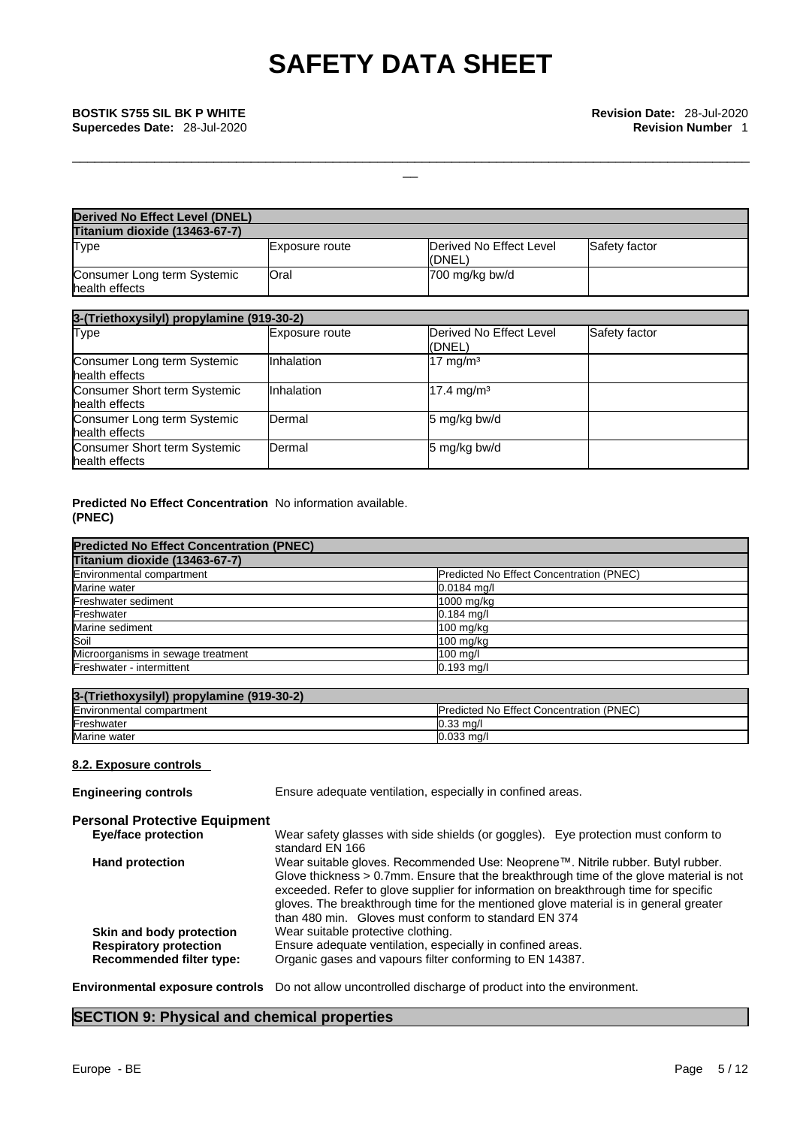\_\_\_\_\_\_\_\_\_\_\_\_\_\_\_\_\_\_\_\_\_\_\_\_\_\_\_\_\_\_\_\_\_\_\_\_\_\_\_\_\_\_\_\_\_\_\_\_\_\_\_\_\_\_\_\_\_\_\_\_\_\_\_\_\_\_\_\_\_\_\_\_\_\_\_\_\_\_\_\_\_\_\_\_\_\_\_\_\_\_\_

| Derived No Effect Level (DNEL)                |                |                                   |               |
|-----------------------------------------------|----------------|-----------------------------------|---------------|
| <b>Titanium dioxide (13463-67-7)</b>          |                |                                   |               |
| <b>Type</b>                                   | Exposure route | Derived No Effect Level<br>(DNEL) | Safety factor |
| Consumer Long term Systemic<br>health effects | Oral           | 700 mg/kg bw/d                    |               |

| 3-(Triethoxysilyl) propylamine (919-30-2)      |                |                                   |               |  |
|------------------------------------------------|----------------|-----------------------------------|---------------|--|
| Type                                           | Exposure route | Derived No Effect Level<br>(DNEL) | Safety factor |  |
| Consumer Long term Systemic<br>health effects  | Inhalation     | 17 mg/m <sup>3</sup>              |               |  |
| Consumer Short term Systemic<br>health effects | Inhalation     | 17.4 mg/m <sup>3</sup>            |               |  |
| Consumer Long term Systemic<br>health effects  | Dermal         | 5 mg/kg bw/d                      |               |  |
| Consumer Short term Systemic<br>health effects | Dermal         | 5 mg/kg bw/d                      |               |  |

### **Predicted No Effect Concentration** No information available. **(PNEC)**

| <b>Predicted No Effect Concentration (PNEC)</b> |                                          |  |
|-------------------------------------------------|------------------------------------------|--|
| Titanium dioxide (13463-67-7)                   |                                          |  |
| Environmental compartment                       | Predicted No Effect Concentration (PNEC) |  |
| Marine water                                    | $0.0184$ mg/l                            |  |
| Freshwater sediment                             | 1000 mg/kg                               |  |
| Freshwater                                      | $0.184$ mg/l                             |  |
| Marine sediment                                 | 100 mg/kg                                |  |
| Soil                                            | $100$ mg/kg                              |  |
| Microorganisms in sewage treatment              | $100$ mg/l                               |  |
| Freshwater - intermittent                       | $0.193$ mg/l                             |  |

| 3-(Triethoxysilyl) propylamine (919-30-2) |                                                  |
|-------------------------------------------|--------------------------------------------------|
| Environmental compartment                 | <b>IPredicted No Effect Concentration (PNEC)</b> |
| Freshwater                                | $0.33 \text{ ma}$                                |
| Marine water                              | $0.033$ mg/l                                     |

### **8.2. Exposure controls**

| <b>Engineering controls</b>          | Ensure adequate ventilation, especially in confined areas.                                                                                                                                                                                                                                                                                                                                                           |
|--------------------------------------|----------------------------------------------------------------------------------------------------------------------------------------------------------------------------------------------------------------------------------------------------------------------------------------------------------------------------------------------------------------------------------------------------------------------|
| <b>Personal Protective Equipment</b> |                                                                                                                                                                                                                                                                                                                                                                                                                      |
| <b>Eye/face protection</b>           | Wear safety glasses with side shields (or goggles). Eye protection must conform to<br>standard EN 166                                                                                                                                                                                                                                                                                                                |
| <b>Hand protection</b>               | Wear suitable gloves. Recommended Use: Neoprene™. Nitrile rubber. Butyl rubber.<br>Glove thickness $> 0.7$ mm. Ensure that the breakthrough time of the glove material is not<br>exceeded. Refer to glove supplier for information on breakthrough time for specific<br>gloves. The breakthrough time for the mentioned glove material is in general greater<br>than 480 min. Gloves must conform to standard EN 374 |
| Skin and body protection             | Wear suitable protective clothing.                                                                                                                                                                                                                                                                                                                                                                                   |
| <b>Respiratory protection</b>        | Ensure adequate ventilation, especially in confined areas.                                                                                                                                                                                                                                                                                                                                                           |
| <b>Recommended filter type:</b>      | Organic gases and vapours filter conforming to EN 14387.                                                                                                                                                                                                                                                                                                                                                             |

### **Environmental exposure controls** Do not allow uncontrolled discharge of product into the environment.

### **SECTION 9: Physical and chemical properties**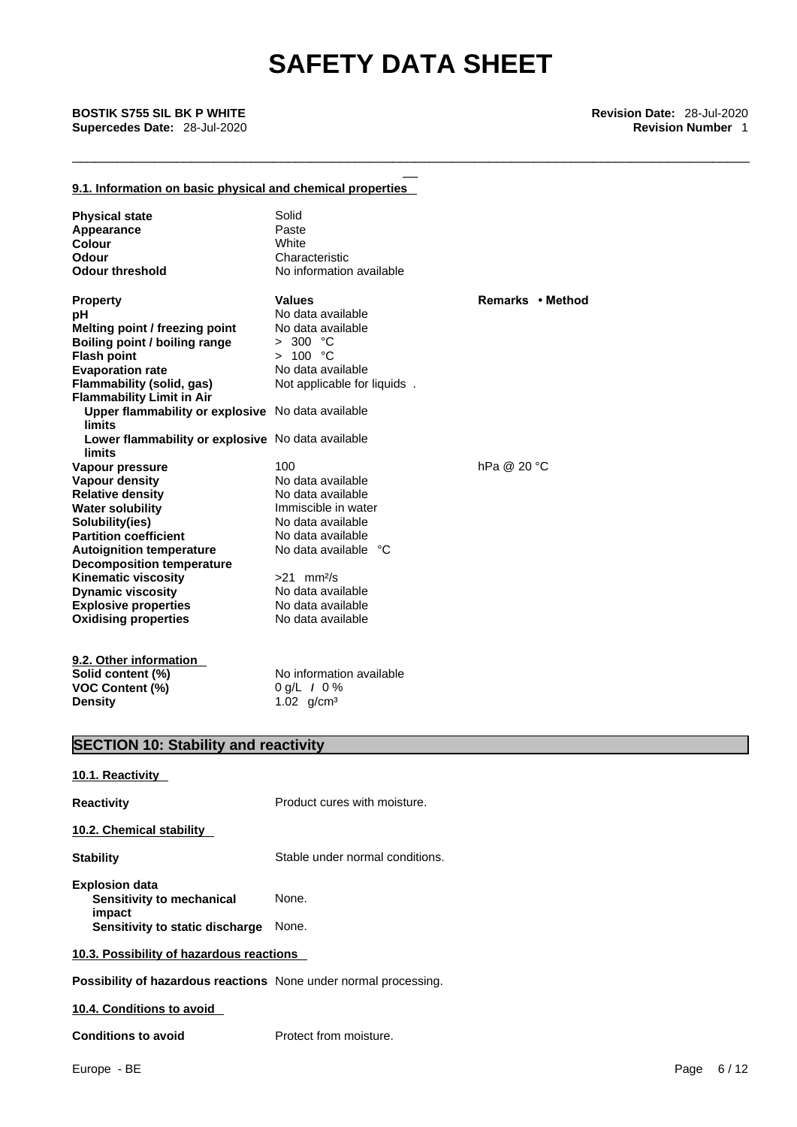\_\_\_\_\_\_\_\_\_\_\_\_\_\_\_\_\_\_\_\_\_\_\_\_\_\_\_\_\_\_\_\_\_\_\_\_\_\_\_\_\_\_\_\_\_\_\_\_\_\_\_\_\_\_\_\_\_\_\_\_\_\_\_\_\_\_\_\_\_\_\_\_\_\_\_\_\_\_\_\_\_\_\_\_\_\_\_\_\_\_\_

### **9.1. Information on basic physical and chemical properties**

| <b>Physical state</b>                                                                                                                                                                                                          | Solid                       |                  |
|--------------------------------------------------------------------------------------------------------------------------------------------------------------------------------------------------------------------------------|-----------------------------|------------------|
| Appearance                                                                                                                                                                                                                     | Paste                       |                  |
| Colour                                                                                                                                                                                                                         | White                       |                  |
| Odour                                                                                                                                                                                                                          | Characteristic              |                  |
| <b>Odour threshold</b>                                                                                                                                                                                                         | No information available    |                  |
| <b>Property</b>                                                                                                                                                                                                                | <b>Values</b>               | Remarks • Method |
| рH                                                                                                                                                                                                                             | No data available           |                  |
| Melting point / freezing point                                                                                                                                                                                                 | No data available           |                  |
| Boiling point / boiling range                                                                                                                                                                                                  | > 300 °C                    |                  |
| <b>Flash point</b>                                                                                                                                                                                                             | > 100 °C                    |                  |
| <b>Evaporation rate</b>                                                                                                                                                                                                        | No data available           |                  |
| Flammability (solid, gas)                                                                                                                                                                                                      | Not applicable for liquids. |                  |
| <b>Flammability Limit in Air</b>                                                                                                                                                                                               |                             |                  |
| Upper flammability or explosive No data available<br>limits                                                                                                                                                                    |                             |                  |
| Lower flammability or explosive No data available<br>limits                                                                                                                                                                    |                             |                  |
| Vapour pressure                                                                                                                                                                                                                | 100                         | hPa @ 20 °C      |
| Vapour density                                                                                                                                                                                                                 | No data available           |                  |
| <b>Relative density</b>                                                                                                                                                                                                        | No data available           |                  |
| <b>Water solubility</b>                                                                                                                                                                                                        | Immiscible in water         |                  |
| Solubility(ies)                                                                                                                                                                                                                | No data available           |                  |
| <b>Partition coefficient</b>                                                                                                                                                                                                   | No data available           |                  |
| <b>Autoignition temperature</b>                                                                                                                                                                                                | No data available °C        |                  |
| <b>Decomposition temperature</b>                                                                                                                                                                                               |                             |                  |
| <b>Kinematic viscosity</b>                                                                                                                                                                                                     | $>21$ mm <sup>2</sup> /s    |                  |
| <b>Dynamic viscosity</b>                                                                                                                                                                                                       | No data available           |                  |
| <b>Explosive properties</b>                                                                                                                                                                                                    | No data available           |                  |
| <b>Oxidising properties</b>                                                                                                                                                                                                    | No data available           |                  |
| $0.0.01$ $0.01$ $0.000$ $0.000$ $0.000$ $0.000$ $0.000$ $0.000$ $0.000$ $0.000$ $0.000$ $0.000$ $0.000$ $0.000$ $0.000$ $0.000$ $0.000$ $0.000$ $0.000$ $0.000$ $0.000$ $0.000$ $0.000$ $0.000$ $0.000$ $0.000$ $0.000$ $0.00$ |                             |                  |

**9.2. Other information Solid content (%)** No information available **VOC Content (%)** 0 g/L *I* 0 %<br>Density 1.02 g/cm<sup>3</sup>

1.02 g/cm<sup>3</sup>

## **SECTION 10: Stability and reactivity**

| 10.1. Reactivity                                                        |                                 |
|-------------------------------------------------------------------------|---------------------------------|
| <b>Reactivity</b>                                                       | Product cures with moisture.    |
| 10.2. Chemical stability                                                |                                 |
| <b>Stability</b>                                                        | Stable under normal conditions. |
| <b>Explosion data</b><br>Sensitivity to mechanical<br>impact            | None.                           |
| Sensitivity to static discharge                                         | None.                           |
| 10.3. Possibility of hazardous reactions                                |                                 |
| <b>Possibility of hazardous reactions</b> None under normal processing. |                                 |
| 10.4. Conditions to avoid                                               |                                 |

### **Conditions to avoid** Protect from moisture.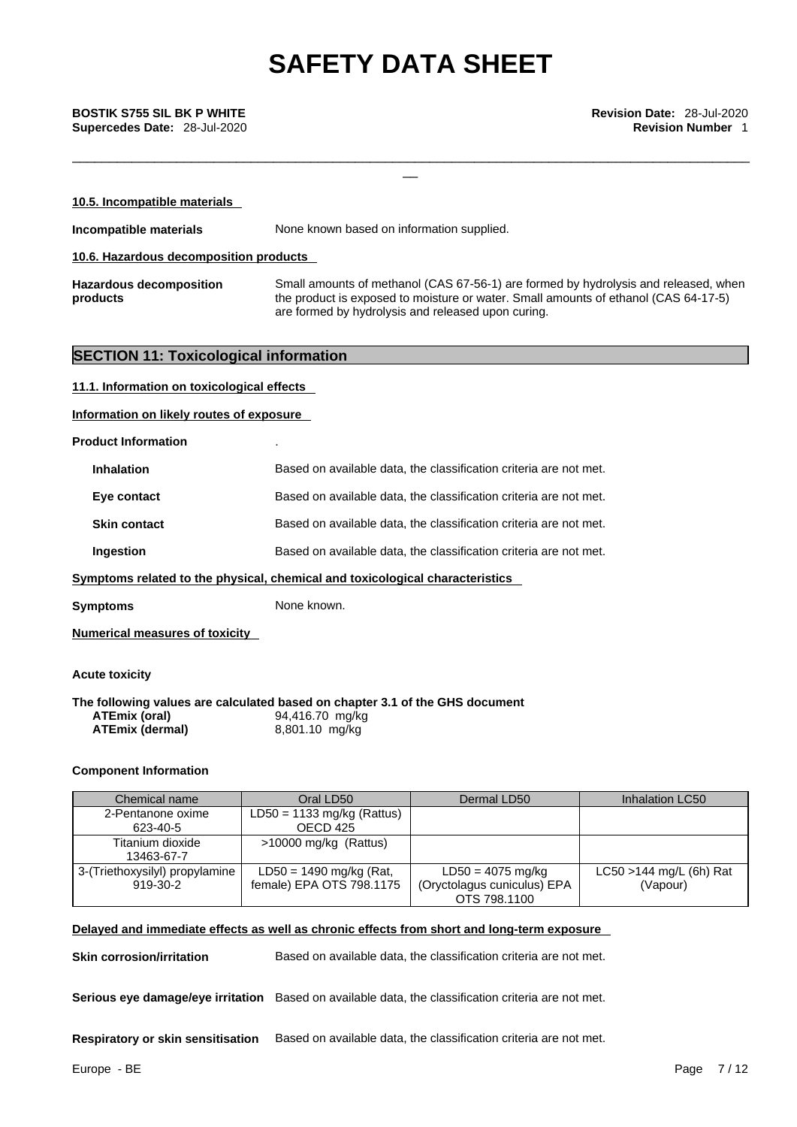\_\_\_\_\_\_\_\_\_\_\_\_\_\_\_\_\_\_\_\_\_\_\_\_\_\_\_\_\_\_\_\_\_\_\_\_\_\_\_\_\_\_\_\_\_\_\_\_\_\_\_\_\_\_\_\_\_\_\_\_\_\_\_\_\_\_\_\_\_\_\_\_\_\_\_\_\_\_\_\_\_\_\_\_\_\_\_\_\_\_\_

\_\_ **BOSTIK S755 SIL BK <sup>P</sup> WHITE Revision Date:** 28-Jul-2020 **Supercedes Date:** 28-Jul-2020 **Revision Number** 1

| 10.5. Incompatible materials               |                                                                                                                                                                                                                                  |
|--------------------------------------------|----------------------------------------------------------------------------------------------------------------------------------------------------------------------------------------------------------------------------------|
| Incompatible materials                     | None known based on information supplied.                                                                                                                                                                                        |
| 10.6. Hazardous decomposition products     |                                                                                                                                                                                                                                  |
| <b>Hazardous decomposition</b><br>products | Small amounts of methanol (CAS 67-56-1) are formed by hydrolysis and released, when<br>the product is exposed to moisture or water. Small amounts of ethanol (CAS 64-17-5)<br>are formed by hydrolysis and released upon curing. |

### **SECTION 11: Toxicological information**

**11.1. Information on toxicological effects**

**Information on likely routes of exposure**

**Product Information** .

| <b>Inhalation</b>   | Based on available data, the classification criteria are not met. |
|---------------------|-------------------------------------------------------------------|
| Eye contact         | Based on available data, the classification criteria are not met. |
| <b>Skin contact</b> | Based on available data, the classification criteria are not met. |
| Ingestion           | Based on available data, the classification criteria are not met. |
|                     |                                                                   |

**Symptoms related to the physical, chemical and toxicological characteristics** 

**Symptoms** None known.

**Numerical measures of toxicity**

**Acute toxicity** 

**The following values are calculated based on chapter 3.1 of the GHS document ATEmix (oral)** 94,416.70 mg/kg<br>**ATEmix (dermal)** 8,801.10 mg/kg **ATEmix** (dermal)

### **Component Information**

| Chemical name                              | Oral LD50                                             | Dermal LD50                                                        | Inhalation LC50                        |
|--------------------------------------------|-------------------------------------------------------|--------------------------------------------------------------------|----------------------------------------|
| 2-Pentanone oxime                          | $LD50 = 1133$ mg/kg (Rattus)                          |                                                                    |                                        |
| 623-40-5                                   | OECD 425                                              |                                                                    |                                        |
| Titanium dioxide<br>13463-67-7             | $>10000$ mg/kg (Rattus)                               |                                                                    |                                        |
| 3-(Triethoxysilyl) propylamine<br>919-30-2 | $LD50 = 1490$ mg/kg (Rat,<br>female) EPA OTS 798.1175 | $LD50 = 4075$ mg/kg<br>(Oryctolagus cuniculus) EPA<br>OTS 798,1100 | $LC50 > 144$ mg/L (6h) Rat<br>(Vapour) |

### **Delayed and immediate effects as well as chronic effects from short and long-term exposure**

**Skin corrosion/irritation** Based on available data, the classification criteria are not met.

**Serious eye damage/eye irritation** Based on available data, the classification criteria are not met.

**Respiratory or skin sensitisation** Based on available data, the classification criteria are not met.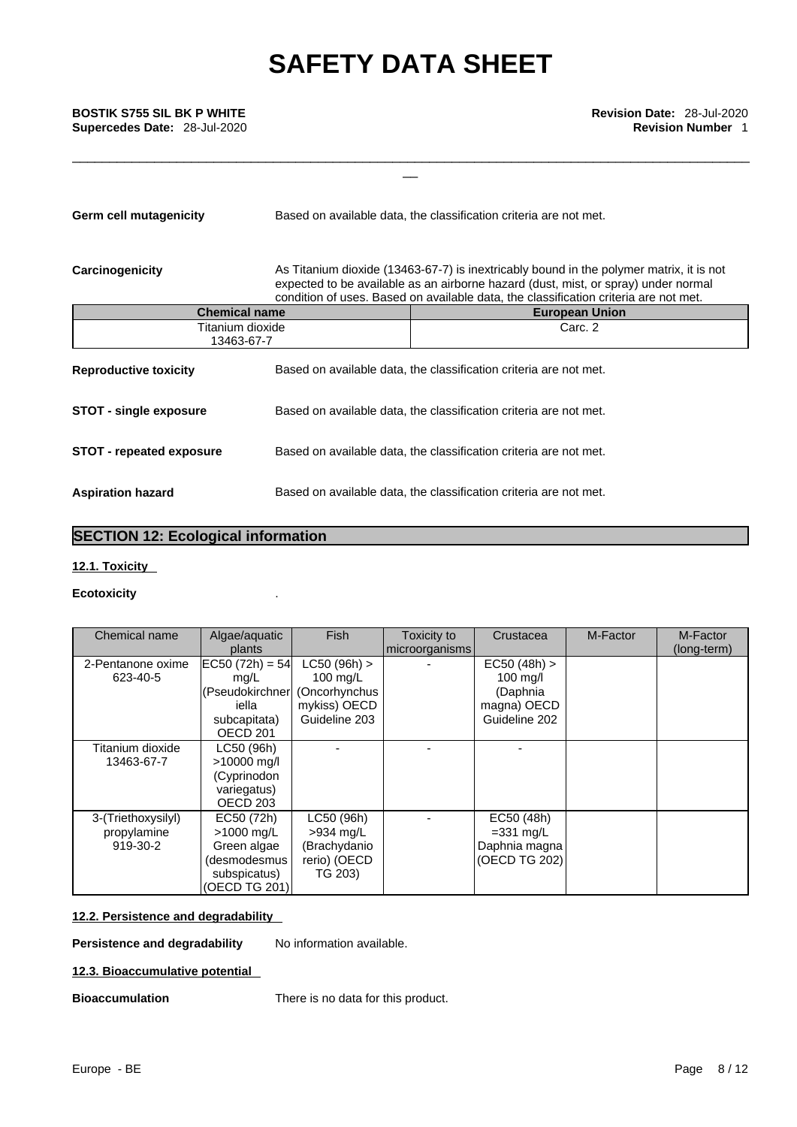# \_\_ **BOSTIK S755 SIL BK <sup>P</sup> WHITE Revision Date:** 28-Jul-2020 **Supercedes Date:** 28-Jul-2020 **Revision Number** 1

**Germ cell mutagenicity** Based on available data, the classification criteria are not met.

**Carcinogenicity** As Titanium dioxide (13463-67-7) is inextricably bound in the polymer matrix, it is not expected to be available as an airborne hazard (dust, mist, or spray) under normal condition of uses. Based on available data, the classification criteria are not met.

\_\_\_\_\_\_\_\_\_\_\_\_\_\_\_\_\_\_\_\_\_\_\_\_\_\_\_\_\_\_\_\_\_\_\_\_\_\_\_\_\_\_\_\_\_\_\_\_\_\_\_\_\_\_\_\_\_\_\_\_\_\_\_\_\_\_\_\_\_\_\_\_\_\_\_\_\_\_\_\_\_\_\_\_\_\_\_\_\_\_\_

| <b>Chemical name</b>            |  | <b>European Union</b>                                             |
|---------------------------------|--|-------------------------------------------------------------------|
| Titanium dioxide<br>13463-67-7  |  | Carc. 2                                                           |
| <b>Reproductive toxicity</b>    |  | Based on available data, the classification criteria are not met. |
| <b>STOT - single exposure</b>   |  | Based on available data, the classification criteria are not met. |
| <b>STOT - repeated exposure</b> |  | Based on available data, the classification criteria are not met. |
| <b>Aspiration hazard</b>        |  | Based on available data, the classification criteria are not met. |

### **SECTION 12: Ecological information**

### **12.1. Toxicity**

### **Ecotoxicity** .

| Chemical name      | Algae/aquatic       | <b>Fish</b>    | Toxicity to    | Crustacea          | M-Factor | M-Factor    |  |
|--------------------|---------------------|----------------|----------------|--------------------|----------|-------------|--|
|                    | plants              |                | microorganisms |                    |          | (long-term) |  |
| 2-Pentanone oxime  | $ EC50 (72h) = 54 $ | $LC50 (96h)$ > |                | EC50 (48h) >       |          |             |  |
| 623-40-5           | mg/L                | 100 mg/L       |                | $100 \text{ mg/l}$ |          |             |  |
|                    | (Pseudokirchner     | (Oncorhynchus  |                | (Daphnia           |          |             |  |
|                    | iella               | mykiss) OECD   |                | magna) OECD        |          |             |  |
|                    | subcapitata)        | Guideline 203  |                | Guideline 202      |          |             |  |
|                    | OECD <sub>201</sub> |                |                |                    |          |             |  |
| Titanium dioxide   | LC50 (96h)          |                |                |                    |          |             |  |
| 13463-67-7         | >10000 mg/l         |                |                |                    |          |             |  |
|                    | (Cyprinodon         |                |                |                    |          |             |  |
|                    | variegatus)         |                |                |                    |          |             |  |
|                    | OECD <sub>203</sub> |                |                |                    |          |             |  |
| 3-(Triethoxysilyl) | EC50 (72h)          | LC50 (96h)     |                | EC50 (48h)         |          |             |  |
| propylamine        | >1000 mg/L          | >934 mg/L      |                | $=331$ mg/L        |          |             |  |
| 919-30-2           | Green algae         | (Brachydanio   |                | Daphnia magna      |          |             |  |
|                    | (desmodesmus        | rerio) (OECD   |                | (OECD TG 202)      |          |             |  |
|                    | subspicatus)        | TG 203)        |                |                    |          |             |  |
|                    | (OECD TG 201)       |                |                |                    |          |             |  |

### **12.2. Persistence and degradability**

**Persistence and degradability** No information available.

## **12.3. Bioaccumulative potential**

**Bioaccumulation** There is no data for this product.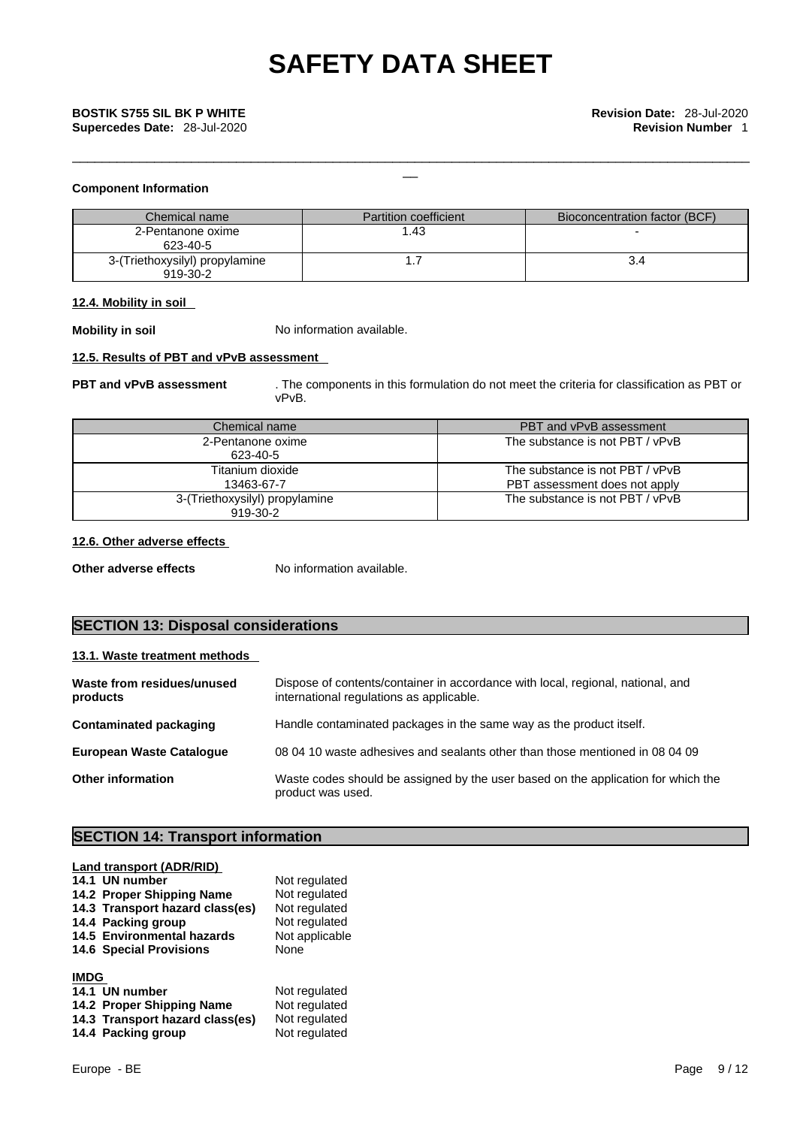### **Component Information**

| Chemical name                              | <b>Partition coefficient</b> | Bioconcentration factor (BCF) |
|--------------------------------------------|------------------------------|-------------------------------|
| 2-Pentanone oxime<br>623-40-5              | .43                          |                               |
| 3-(Triethoxysilyl) propylamine<br>919-30-2 |                              |                               |

### **12.4. Mobility in soil**

**Mobility in soil** No information available.

### **12.5. Results of PBT and vPvB assessment**

**PBT and vPvB assessment** . The components in this formulation do not meet the criteria for classification as PBT or vPvB.

\_\_\_\_\_\_\_\_\_\_\_\_\_\_\_\_\_\_\_\_\_\_\_\_\_\_\_\_\_\_\_\_\_\_\_\_\_\_\_\_\_\_\_\_\_\_\_\_\_\_\_\_\_\_\_\_\_\_\_\_\_\_\_\_\_\_\_\_\_\_\_\_\_\_\_\_\_\_\_\_\_\_\_\_\_\_\_\_\_\_\_

| Chemical name                  | PBT and vPvB assessment         |
|--------------------------------|---------------------------------|
| 2-Pentanone oxime<br>623-40-5  | The substance is not PBT / vPvB |
| Titanium dioxide               | The substance is not PBT / vPvB |
| 13463-67-7                     | PBT assessment does not apply   |
| 3-(Triethoxysilyl) propylamine | The substance is not PBT / vPvB |
| 919-30-2                       |                                 |

### **12.6. Other adverse effects**

**Other adverse effects** No information available.

### **SECTION 13: Disposal considerations**

### **13.1. Waste treatment methods**

| Waste from residues/unused<br>products | Dispose of contents/container in accordance with local, regional, national, and<br>international regulations as applicable. |
|----------------------------------------|-----------------------------------------------------------------------------------------------------------------------------|
| <b>Contaminated packaging</b>          | Handle contaminated packages in the same way as the product itself.                                                         |
| <b>European Waste Cataloque</b>        | 08 04 10 waste adhesives and sealants other than those mentioned in 08 04 09                                                |
| <b>Other information</b>               | Waste codes should be assigned by the user based on the application for which the<br>product was used.                      |

## **SECTION 14: Transport information**

| Land transport (ADR/RID)<br>14.1 UN number<br>14.2 Proper Shipping Name<br>14.3 Transport hazard class(es)<br>14.4 Packing group<br>14.5 Environmental hazards<br><b>14.6 Special Provisions</b> | Not regulated<br>Not regulated<br>Not regulated<br>Not regulated<br>Not applicable<br><b>None</b> |
|--------------------------------------------------------------------------------------------------------------------------------------------------------------------------------------------------|---------------------------------------------------------------------------------------------------|
| <b>IMDG</b><br>14.1 UN number<br>14.2 Proper Shipping Name<br>14.3 Transport hazard class(es)<br>14.4 Packing group                                                                              | Not regulated<br>Not regulated<br>Not regulated<br>Not regulated                                  |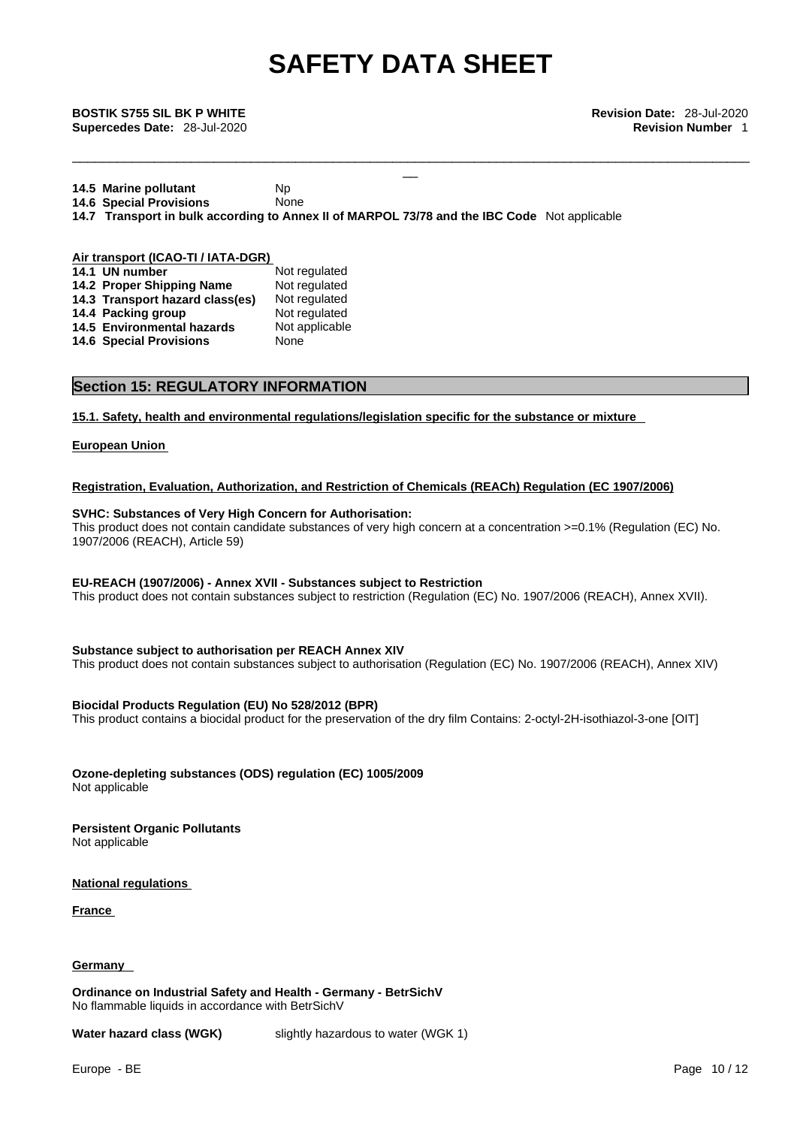\_\_\_\_\_\_\_\_\_\_\_\_\_\_\_\_\_\_\_\_\_\_\_\_\_\_\_\_\_\_\_\_\_\_\_\_\_\_\_\_\_\_\_\_\_\_\_\_\_\_\_\_\_\_\_\_\_\_\_\_\_\_\_\_\_\_\_\_\_\_\_\_\_\_\_\_\_\_\_\_\_\_\_\_\_\_\_\_\_\_\_

\_\_ **BOSTIK S755 SIL BK <sup>P</sup> WHITE Revision Date:** 28-Jul-2020 **Supercedes Date:** 28-Jul-2020 **Revision Number** 1

**14.5 Marine pollutant** Np **14.6 Special Provisions** None **14.7 Transport in bulk according to Annex II of MARPOL 73/78 and the IBC Code** Not applicable

| Air transport (ICAO-TI / IATA-DGR) |                                 |                |  |
|------------------------------------|---------------------------------|----------------|--|
|                                    | 14.1 UN number                  | Not regulated  |  |
|                                    | 14.2 Proper Shipping Name       | Not regulated  |  |
|                                    | 14.3 Transport hazard class(es) | Not regulated  |  |
|                                    | 14.4 Packing group              | Not regulated  |  |
|                                    | 14.5 Environmental hazards      | Not applicable |  |
|                                    | <b>14.6 Special Provisions</b>  | None           |  |

### **Section 15: REGULATORY INFORMATION**

**15.1. Safety, health and environmental regulations/legislation specific for the substance or mixture**

### **European Union**

### **Registration, Evaluation, Authorization, and Restriction of Chemicals (REACh) Regulation (EC 1907/2006)**

### **SVHC: Substances of Very High Concern for Authorisation:**

This product does not contain candidate substances of very high concern at a concentration >=0.1% (Regulation (EC) No. 1907/2006 (REACH), Article 59)

### **EU-REACH (1907/2006) - Annex XVII - Substances subject to Restriction**

This product does not contain substances subject to restriction (Regulation (EC) No. 1907/2006 (REACH), Annex XVII).

### **Substance subject to authorisation per REACH Annex XIV**

This product does not contain substances subject to authorisation (Regulation (EC) No. 1907/2006 (REACH), Annex XIV)

### **Biocidal Products Regulation (EU) No 528/2012 (BPR)**

This product contains a biocidal product for the preservation of the dry film Contains: 2-octyl-2H-isothiazol-3-one [OIT]

**Ozone-depleting substances (ODS) regulation (EC) 1005/2009** Not applicable

**Persistent Organic Pollutants** Not applicable

**National regulations**

**France** 

### **Germany**

**Ordinance on Industrial Safety and Health - Germany - BetrSichV** No flammable liquids in accordance with BetrSichV

**Water hazard class (WGK)** slightly hazardous to water (WGK 1)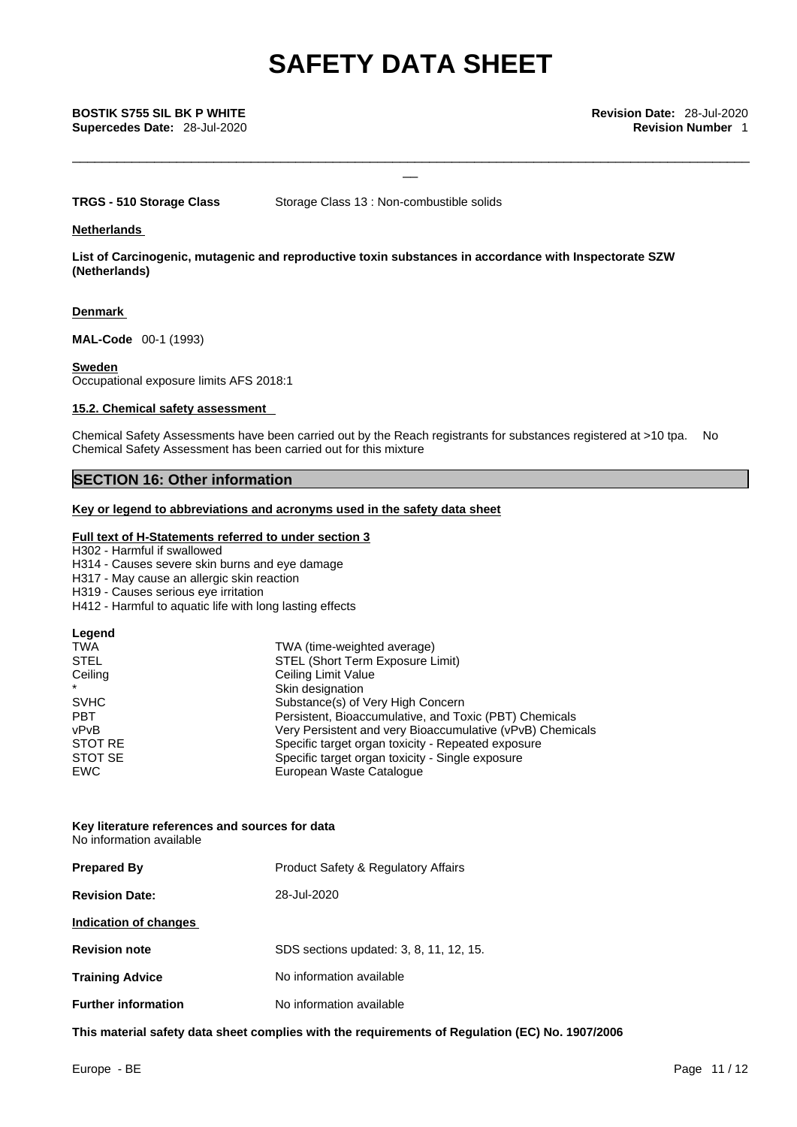\_\_\_\_\_\_\_\_\_\_\_\_\_\_\_\_\_\_\_\_\_\_\_\_\_\_\_\_\_\_\_\_\_\_\_\_\_\_\_\_\_\_\_\_\_\_\_\_\_\_\_\_\_\_\_\_\_\_\_\_\_\_\_\_\_\_\_\_\_\_\_\_\_\_\_\_\_\_\_\_\_\_\_\_\_\_\_\_\_\_\_

\_\_ **BOSTIK S755 SIL BK <sup>P</sup> WHITE Revision Date:** 28-Jul-2020 **Supercedes Date:** 28-Jul-2020 **Revision Number** 1

**TRGS - 510 Storage Class** Storage Class 13 : Non-combustible solids

### **Netherlands**

**List of Carcinogenic, mutagenic and reproductive toxin substances in accordance with Inspectorate SZW (Netherlands)**

### **Denmark**

**MAL-Code** 00-1 (1993)

### **Sweden**

Occupational exposure limits AFS 2018:1

### **15.2. Chemical safety assessment**

Chemical Safety Assessments have been carried out by the Reach registrants for substances registered at >10 tpa. No Chemical Safety Assessment has been carried out for this mixture

### **SECTION 16: Other information**

### **Key or legend to abbreviations and acronyms used in the safety data sheet**

### **Full text of H-Statements referred to under section 3**

H302 - Harmful if swallowed

H314 - Causes severe skin burns and eye damage

H317 - May cause an allergic skin reaction

H319 - Causes serious eye irritation

H412 - Harmful to aquatic life with long lasting effects

| STOT SE                                          | Legend<br>TWA<br><b>STEL</b><br>Ceiling<br>$\star$<br><b>SVHC</b><br><b>PBT</b><br>vPvB<br>STOT RE | TWA (time-weighted average)<br>STEL (Short Term Exposure Limit)<br>Ceiling Limit Value<br>Skin designation<br>Substance(s) of Very High Concern<br>Persistent, Bioaccumulative, and Toxic (PBT) Chemicals<br>Very Persistent and very Bioaccumulative (vPvB) Chemicals<br>Specific target organ toxicity - Repeated exposure |  |
|--------------------------------------------------|----------------------------------------------------------------------------------------------------|------------------------------------------------------------------------------------------------------------------------------------------------------------------------------------------------------------------------------------------------------------------------------------------------------------------------------|--|
| Specific target organ toxicity - Single exposure |                                                                                                    |                                                                                                                                                                                                                                                                                                                              |  |
|                                                  | <b>EWC</b>                                                                                         | European Waste Catalogue                                                                                                                                                                                                                                                                                                     |  |

### **Key literature references and sources for data** No information available

| <b>Prepared By</b>         | <b>Product Safety &amp; Regulatory Affairs</b> |
|----------------------------|------------------------------------------------|
| <b>Revision Date:</b>      | 28-Jul-2020                                    |
| Indication of changes      |                                                |
| <b>Revision note</b>       | SDS sections updated: 3, 8, 11, 12, 15.        |
| <b>Training Advice</b>     | No information available                       |
| <b>Further information</b> | No information available                       |

**This material safety data sheet complies with the requirements of Regulation (EC) No. 1907/2006**